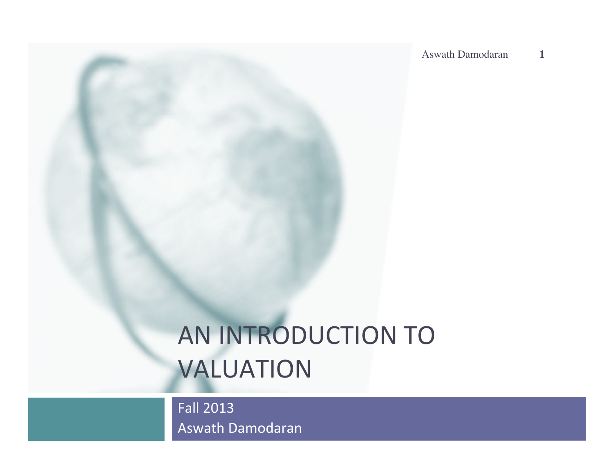# AN INTRODUCTION TO VALUATION

Fall 2013 Aswath Damodaran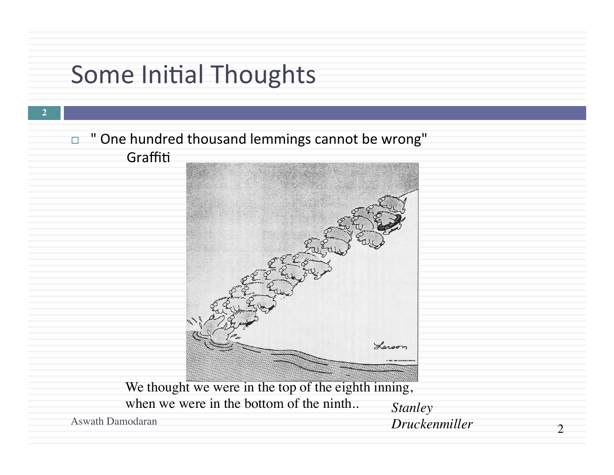#### Some Initial Thoughts

□ " One hundred thousand lemmings cannot be wrong" Graffiti



We thought we were in the top of the eighth inning, when we were in the bottom of the ninth. *Stanley*<br>Aswath Damodaran *Drucket* 

**2**

Aswath Damodaran *Druckenmiller*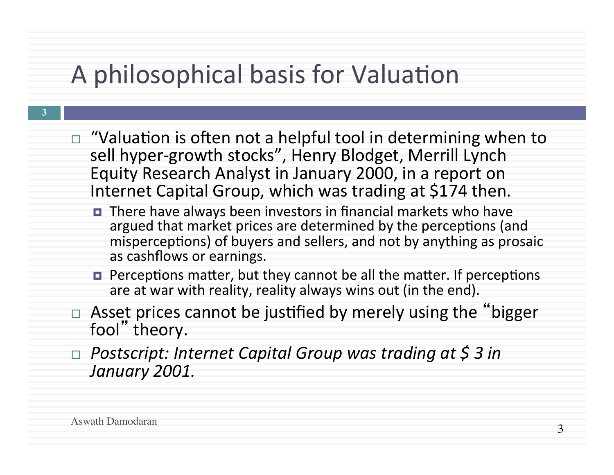# A philosophical basis for Valuation

- $\Box$  "Valuation is often not a helpful tool in determining when to sell hyper-growth stocks", Henry Blodget, Merrill Lynch Equity Research Analyst in January 2000, in a report on Internet Capital Group, which was trading at \$174 then.
	- There have always been investors in financial markets who have argued that market prices are determined by the perceptions (and misperceptions) of buyers and sellers, and not by anything as prosaic as cashflows or earnings.
	- $\blacksquare$  Perceptions matter, but they cannot be all the matter. If perceptions are at war with reality, reality always wins out (in the end).
- $\Box$  Asset prices cannot be justified by merely using the "bigger fool" theory.
- □ Postscript: Internet Capital Group was trading at \$ 3 in *January 2001.*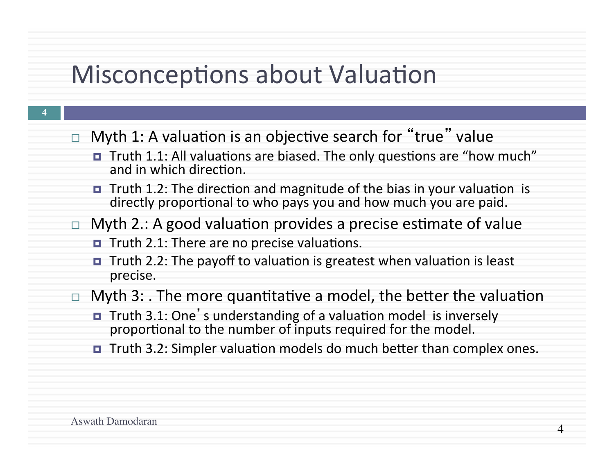#### Misconceptions about Valuation

- **4**
- $\Box$  Myth 1: A valuation is an objective search for "true" value
	- Truth 1.1: All valuations are biased. The only questions are "how much" and in which direction.
	- **E** Truth 1.2: The direction and magnitude of the bias in your valuation is directly proportional to who pays you and how much you are paid.
- $\Box$  Myth 2.: A good valuation provides a precise estimate of value
	- $\blacksquare$  Truth 2.1: There are no precise valuations.
	- $\blacksquare$  Truth 2.2: The payoff to valuation is greatest when valuation is least precise.
- $\Box$  Myth 3: . The more quantitative a model, the better the valuation
	- Truth 3.1: One's understanding of a valuation model is inversely proportional to the number of inputs required for the model.
	- $\blacksquare$  Truth 3.2: Simpler valuation models do much better than complex ones.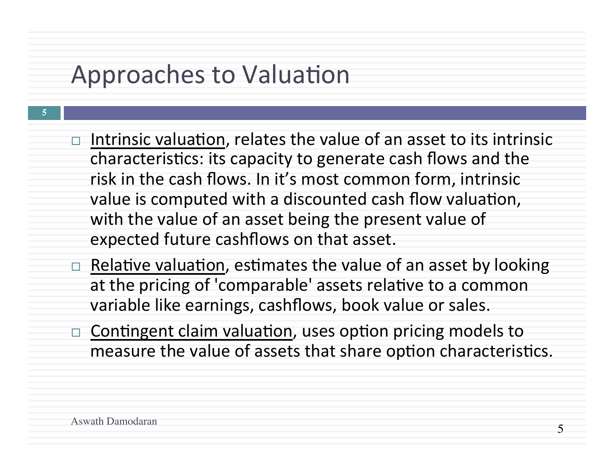#### Approaches to Valuation

- $\Box$  Intrinsic valuation, relates the value of an asset to its intrinsic characteristics: its capacity to generate cash flows and the risk in the cash flows. In it's most common form, intrinsic value is computed with a discounted cash flow valuation, with the value of an asset being the present value of expected future cashflows on that asset.
	- Relative valuation, estimates the value of an asset by looking at the pricing of 'comparable' assets relative to a common variable like earnings, cashflows, book value or sales.
	- Contingent claim valuation, uses option pricing models to measure the value of assets that share option characteristics.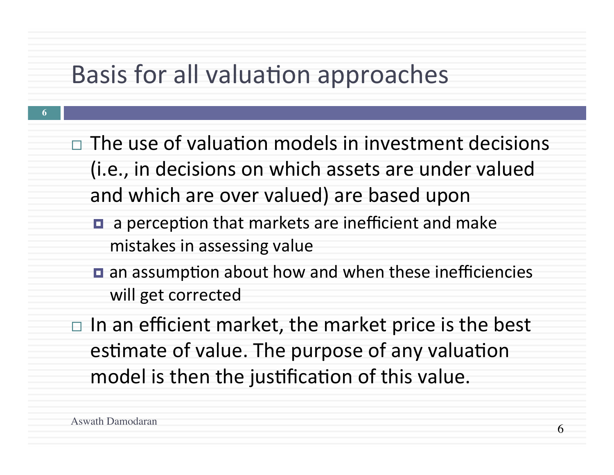#### Basis for all valuation approaches

- $\Box$  The use of valuation models in investment decisions (i.e., in decisions on which assets are under valued and which are over valued) are based upon
	- $\blacksquare$  a perception that markets are inefficient and make mistakes in assessing value
	- $\blacksquare$  an assumption about how and when these inefficiencies will get corrected
- $\Box$  In an efficient market, the market price is the best estimate of value. The purpose of any valuation model is then the justification of this value.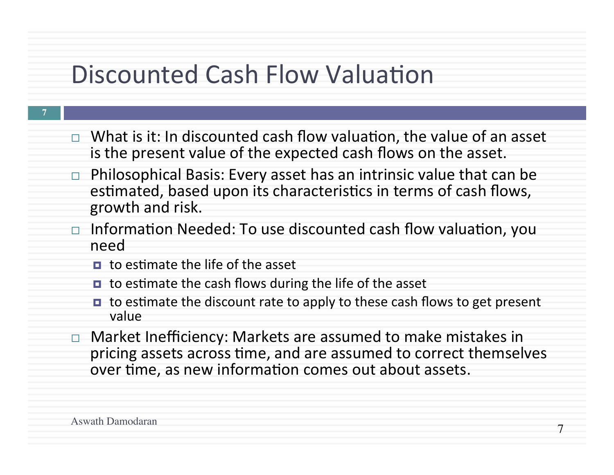#### Discounted Cash Flow Valuation

- **7**
- $\Box$  What is it: In discounted cash flow valuation, the value of an asset is the present value of the expected cash flows on the asset.
- $\Box$  Philosophical Basis: Every asset has an intrinsic value that can be estimated, based upon its characteristics in terms of cash flows, growth and risk.
- $\Box$  Information Needed: To use discounted cash flow valuation, you need
	- $\Box$  to estimate the life of the asset
	- $\blacksquare$  to estimate the cash flows during the life of the asset
	- $\blacksquare$  to estimate the discount rate to apply to these cash flows to get present value
- $\Box$  Market Inefficiency: Markets are assumed to make mistakes in pricing assets across time, and are assumed to correct themselves over time, as new information comes out about assets.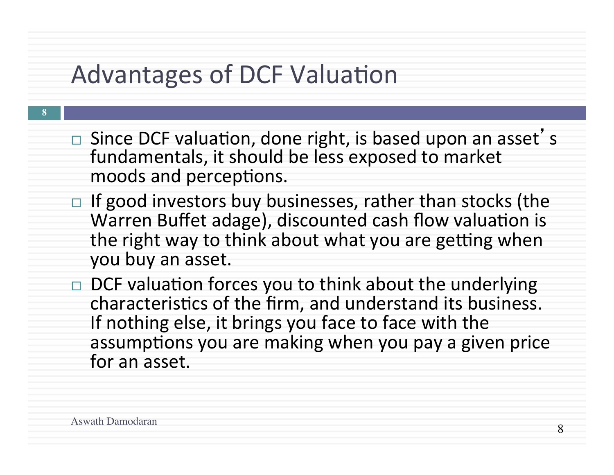#### Advantages of DCF Valuation

- $\Box$  Since DCF valuation, done right, is based upon an asset's fundamentals, it should be less exposed to market moods and perceptions.
- $\Box$  If good investors buy businesses, rather than stocks (the Warren Buffet adage), discounted cash flow valuation is the right way to think about what you are getting when you buy an asset.
- $\Box$  DCF valuation forces you to think about the underlying characteristics of the firm, and understand its business. If nothing else, it brings you face to face with the assumptions you are making when you pay a given price for an asset.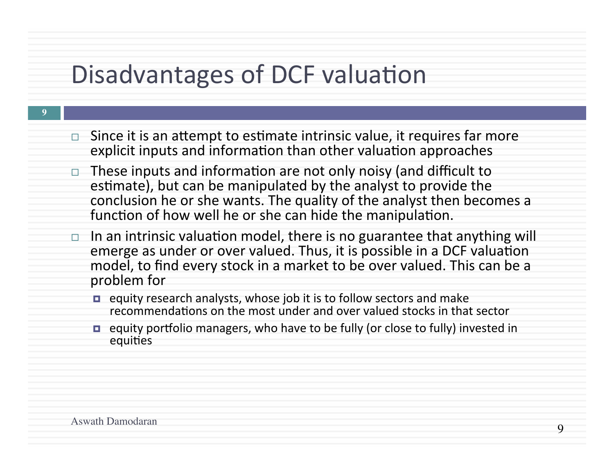### Disadvantages of DCF valuation

- $\Box$  Since it is an attempt to estimate intrinsic value, it requires far more explicit inputs and information than other valuation approaches
	- These inputs and information are not only noisy (and difficult to estimate), but can be manipulated by the analyst to provide the conclusion he or she wants. The quality of the analyst then becomes a function of how well he or she can hide the manipulation.
	- $\Box$  In an intrinsic valuation model, there is no guarantee that anything will emerge as under or over valued. Thus, it is possible in a DCF valuation model, to find every stock in a market to be over valued. This can be a problem for
		- $\blacksquare$  equity research analysts, whose job it is to follow sectors and make recommendations on the most under and over valued stocks in that sector
		- equity portfolio managers, who have to be fully (or close to fully) invested in equities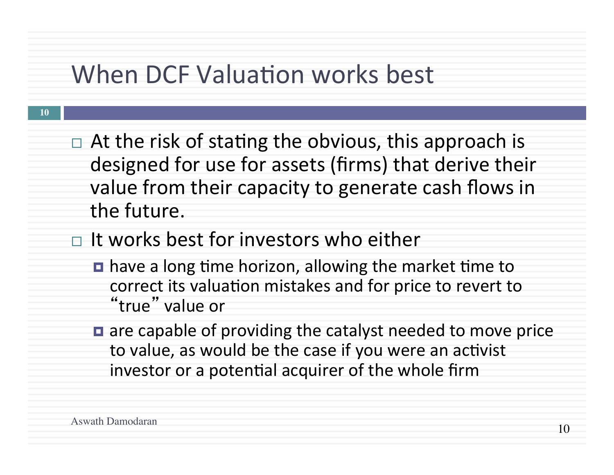#### When DCF Valuation works best

- $\Box$  At the risk of stating the obvious, this approach is designed for use for assets (firms) that derive their value from their capacity to generate cash flows in the future.
- $\Box$  It works best for investors who either
	- $\blacksquare$  have a long time horizon, allowing the market time to correct its valuation mistakes and for price to revert to "true" value or
	- $\blacksquare$  are capable of providing the catalyst needed to move price to value, as would be the case if you were an activist investor or a potential acquirer of the whole firm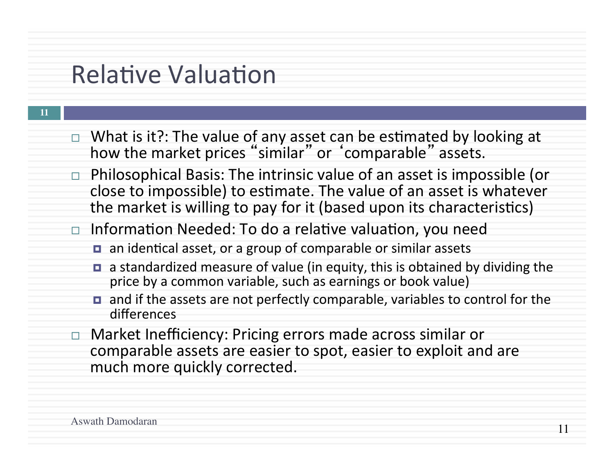#### **Relative Valuation**

- **11**
- $\Box$  What is it?: The value of any asset can be estimated by looking at how the market prices "similar" or 'comparable" assets.
- $\Box$  Philosophical Basis: The intrinsic value of an asset is impossible (or close to impossible) to estimate. The value of an asset is whatever the market is willing to pay for it (based upon its characteristics)
- $\Box$  Information Needed: To do a relative valuation, you need
	- $\blacksquare$  an identical asset, or a group of comparable or similar assets
	- **□** a standardized measure of value (in equity, this is obtained by dividing the price by a common variable, such as earnings or book value)
	- $\blacksquare$  and if the assets are not perfectly comparable, variables to control for the differences
- Market Inefficiency: Pricing errors made across similar or comparable assets are easier to spot, easier to exploit and are much more quickly corrected.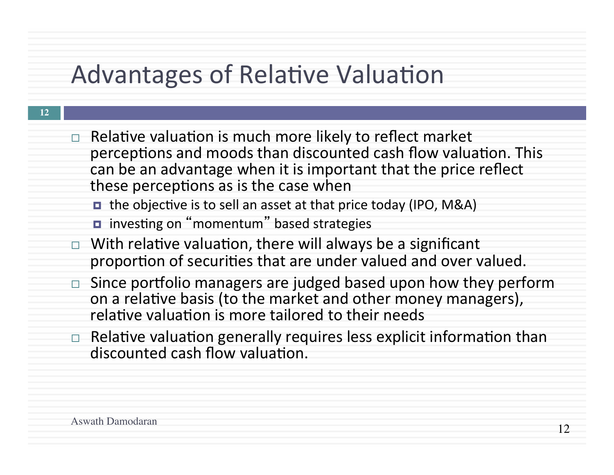## Advantages of Relative Valuation

 $\Box$  Relative valuation is much more likely to reflect market perceptions and moods than discounted cash flow valuation. This can be an advantage when it is important that the price reflect these perceptions as is the case when

■ the objective is to sell an asset at that price today (IPO, M&A)

- investing on "momentum" based strategies
- $\Box$  With relative valuation, there will always be a significant proportion of securities that are under valued and over valued.
- $\Box$  Since portfolio managers are judged based upon how they perform on a relative basis (to the market and other money managers), relative valuation is more tailored to their needs
- $\Box$  Relative valuation generally requires less explicit information than discounted cash flow valuation.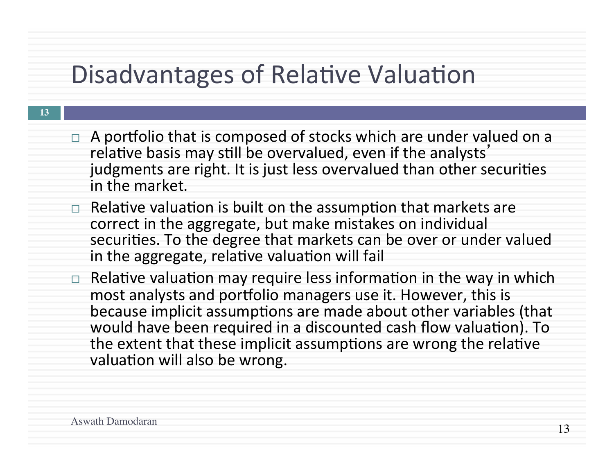#### Disadvantages of Relative Valuation

| I |  |
|---|--|
|   |  |
|   |  |

- $\Box$  A portfolio that is composed of stocks which are under valued on a relative basis may still be overvalued, even if the analysts' judgments are right. It is just less overvalued than other securities in the market
- $\Box$  Relative valuation is built on the assumption that markets are correct in the aggregate, but make mistakes on individual securities. To the degree that markets can be over or under valued in the aggregate, relative valuation will fail
- Relative valuation may require less information in the way in which most analysts and portfolio managers use it. However, this is because implicit assumptions are made about other variables (that would have been required in a discounted cash flow valuation). To the extent that these implicit assumptions are wrong the relative valuation will also be wrong.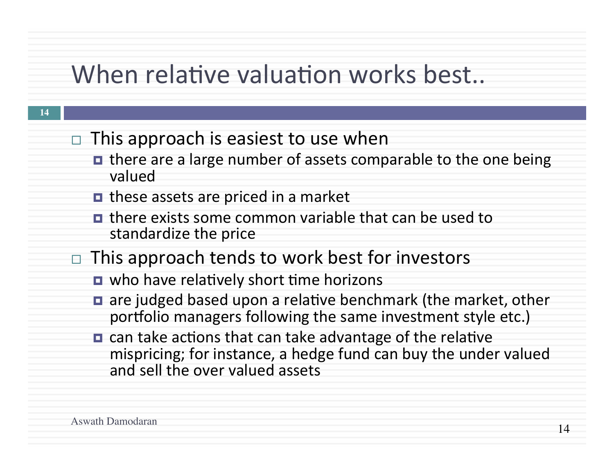#### When relative valuation works best...

- **14**
- $\Box$  This approach is easiest to use when
	- **□** there are a large number of assets comparable to the one being valued
	- **□** these assets are priced in a market
	- there exists some common variable that can be used to standardize the price
- $\Box$  This approach tends to work best for investors
	- $\blacksquare$  who have relatively short time horizons
	- $\blacksquare$  are judged based upon a relative benchmark (the market, other portfolio managers following the same investment style etc.)
	- $\blacksquare$  can take actions that can take advantage of the relative mispricing; for instance, a hedge fund can buy the under valued and sell the over valued assets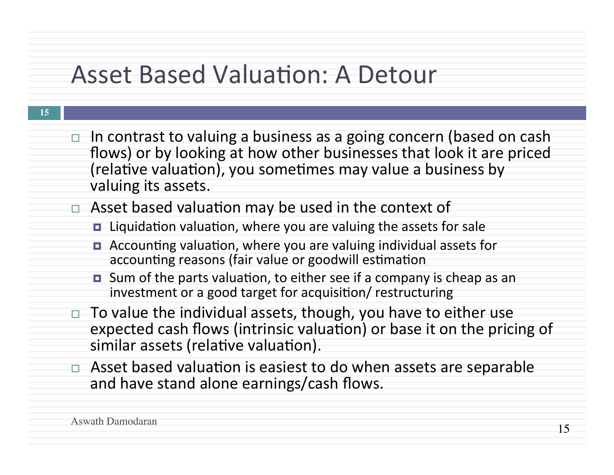#### Asset Based Valuation: A Detour

| ln contrast to valuing a business as a going concern (based on cash  |
|----------------------------------------------------------------------|
| flows) or by looking at how other businesses that look it are priced |
| (relative valuation), you sometimes may value a business by          |
| valuing its assets.                                                  |

- $\Box$  Asset based valuation may be used in the context of
	- $\blacksquare$  Liquidation valuation, where you are valuing the assets for sale
	- $\blacksquare$  Accounting valuation, where you are valuing individual assets for accounting reasons (fair value or goodwill estimation
	- $\blacksquare$  Sum of the parts valuation, to either see if a company is cheap as an investment or a good target for acquisition/ restructuring
	- To value the individual assets, though, you have to either use expected cash flows (intrinsic valuation) or base it on the pricing of similar assets (relative valuation).
	- $\Box$  Asset based valuation is easiest to do when assets are separable and have stand alone earnings/cash flows.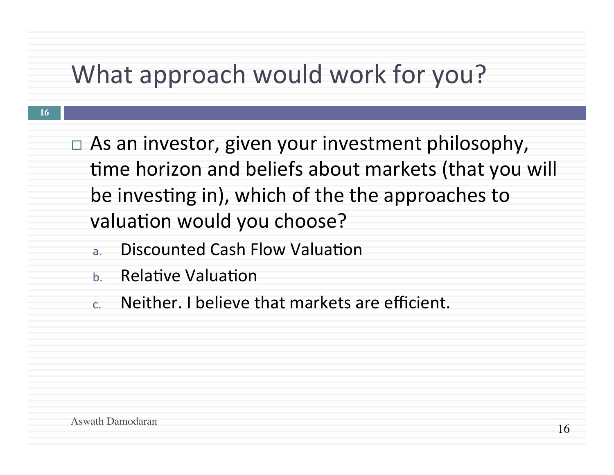## What approach would work for you?

- $\Box$  As an investor, given your investment philosophy, time horizon and beliefs about markets (that you will be investing in), which of the the approaches to valuation would you choose?
	- a. Discounted Cash Flow Valuation
	- b. Relative Valuation
	- c. Neither. I believe that markets are efficient.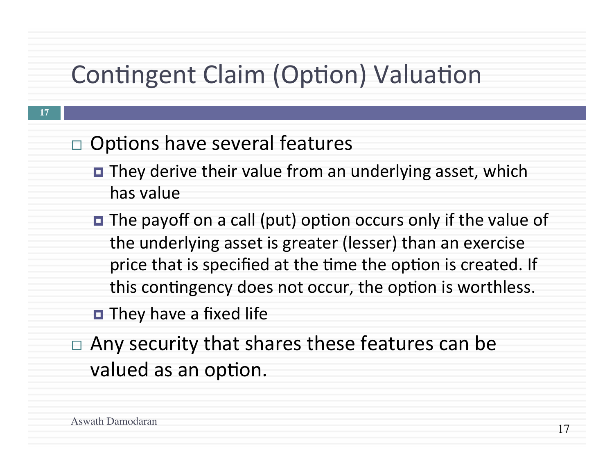# Contingent Claim (Option) Valuation

- $\Box$  Options have several features
	- They derive their value from an underlying asset, which has value
	- **□** The payoff on a call (put) option occurs only if the value of the underlying asset is greater (lesser) than an exercise price that is specified at the time the option is created. If this contingency does not occur, the option is worthless.
	- $\blacksquare$  They have a fixed life
- $\Box$  Any security that shares these features can be valued as an option.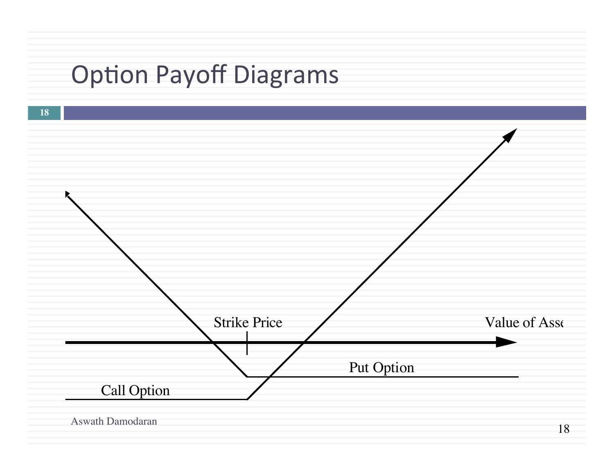# **Option Payoff Diagrams**

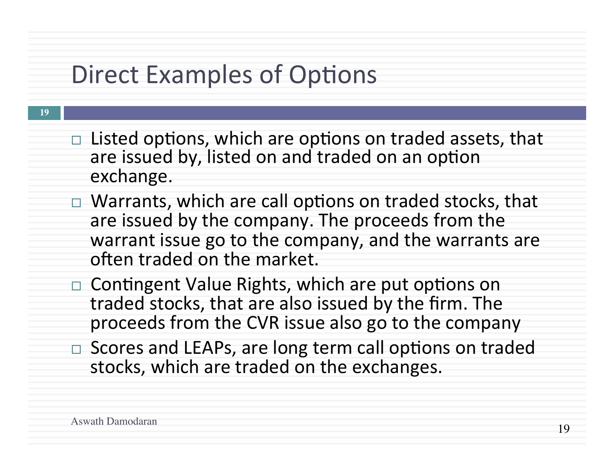### Direct Examples of Options

- **19**
- $\Box$  Listed options, which are options on traded assets, that are issued by, listed on and traded on an option exchange.
- $\Box$  Warrants, which are call options on traded stocks, that are issued by the company. The proceeds from the warrant issue go to the company, and the warrants are often traded on the market.
	- $\Box$  Contingent Value Rights, which are put options on traded stocks, that are also issued by the firm. The proceeds from the CVR issue also go to the company
- □ Scores and LEAPs, are long term call options on traded stocks, which are traded on the exchanges.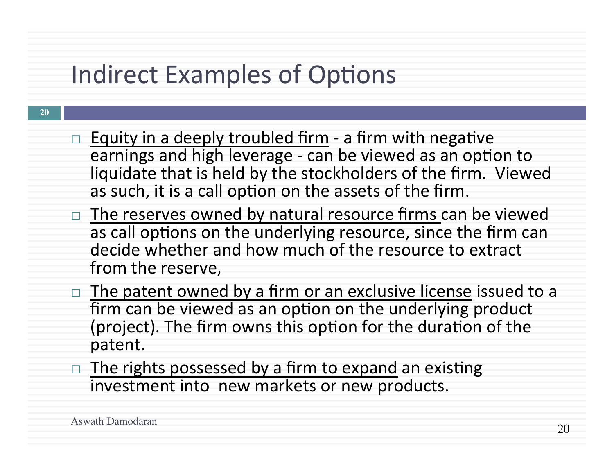# Indirect Examples of Options

- $\Box$  Equity in a deeply troubled firm a firm with negative earnings and high leverage - can be viewed as an option to liquidate that is held by the stockholders of the firm. Viewed as such, it is a call option on the assets of the firm.
	- $\Box$  The reserves owned by natural resource firms can be viewed as call options on the underlying resource, since the firm can decide whether and how much of the resource to extract from the reserve,
	- $\Box$  The patent owned by a firm or an exclusive license issued to a firm can be viewed as an option on the underlying product (project). The firm owns this option for the duration of the patent.
	- $\Box$  The rights possessed by a firm to expand an existing investment into new markets or new products.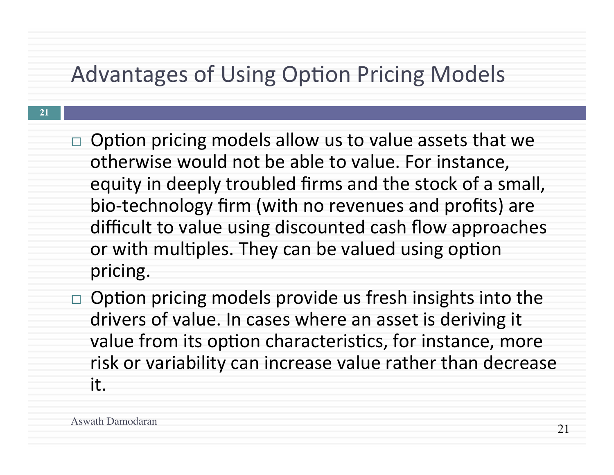#### Advantages of Using Option Pricing Models

- $\Box$  Option pricing models allow us to value assets that we otherwise would not be able to value. For instance, equity in deeply troubled firms and the stock of a small, bio-technology firm (with no revenues and profits) are difficult to value using discounted cash flow approaches or with multiples. They can be valued using option pricing.
- Option pricing models provide us fresh insights into the drivers of value. In cases where an asset is deriving it value from its option characteristics, for instance, more risk or variability can increase value rather than decrease it.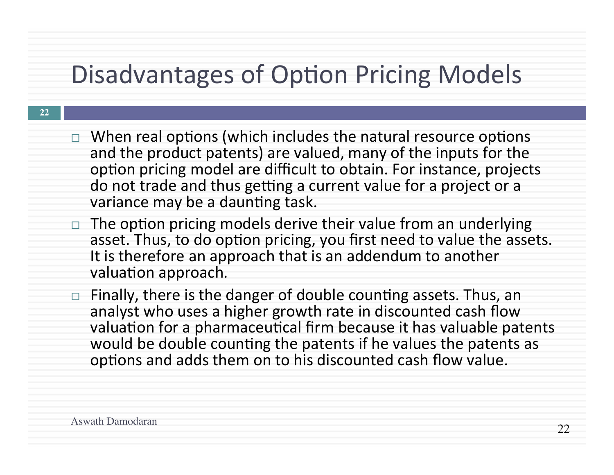# Disadvantages of Option Pricing Models

- $\Box$  When real options (which includes the natural resource options and the product patents) are valued, many of the inputs for the option pricing model are difficult to obtain. For instance, projects do not trade and thus getting a current value for a project or a variance may be a daunting task.
- $\Box$  The option pricing models derive their value from an underlying asset. Thus, to do option pricing, you first need to value the assets. It is therefore an approach that is an addendum to another valuation approach.
- $\Box$  Finally, there is the danger of double counting assets. Thus, an analyst who uses a higher growth rate in discounted cash flow valuation for a pharmaceutical firm because it has valuable patents would be double counting the patents if he values the patents as options and adds them on to his discounted cash flow value.